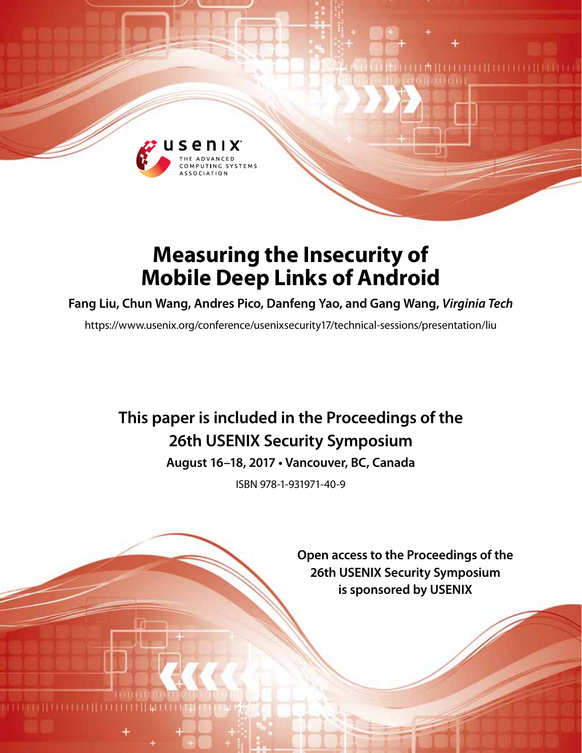

# **Measuring the Insecurity of Mobile Deep Links of Android**

**Fang Liu, Chun Wang, Andres Pico, Danfeng Yao, and Gang Wang,** *Virginia Tech*

https://www.usenix.org/conference/usenixsecurity17/technical-sessions/presentation/liu

# **This paper is included in the Proceedings of the 26th USENIX Security Symposium**

**August 16–18, 2017 • Vancouver, BC, Canada**

ISBN 978-1-931971-40-9

**Open access to the Proceedings of the 26th USENIX Security Symposium is sponsored by USENIX**

THEFTHEFT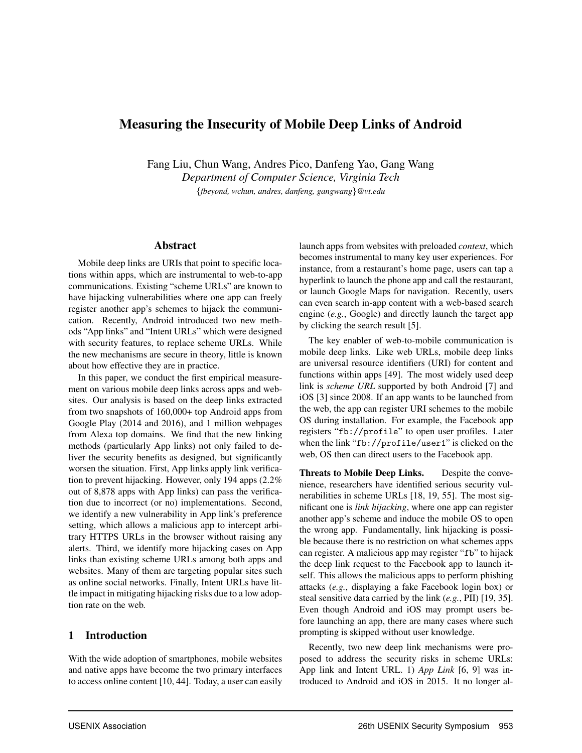# Measuring the Insecurity of Mobile Deep Links of Android

Fang Liu, Chun Wang, Andres Pico, Danfeng Yao, Gang Wang *Department of Computer Science, Virginia Tech* {*fbeyond, wchun, andres, danfeng, gangwang*}*@vt.edu*

#### Abstract

Mobile deep links are URIs that point to specific locations within apps, which are instrumental to web-to-app communications. Existing "scheme URLs" are known to have hijacking vulnerabilities where one app can freely register another app's schemes to hijack the communication. Recently, Android introduced two new methods "App links" and "Intent URLs" which were designed with security features, to replace scheme URLs. While the new mechanisms are secure in theory, little is known about how effective they are in practice.

In this paper, we conduct the first empirical measurement on various mobile deep links across apps and websites. Our analysis is based on the deep links extracted from two snapshots of 160,000+ top Android apps from Google Play (2014 and 2016), and 1 million webpages from Alexa top domains. We find that the new linking methods (particularly App links) not only failed to deliver the security benefits as designed, but significantly worsen the situation. First, App links apply link verification to prevent hijacking. However, only 194 apps (2.2% out of 8,878 apps with App links) can pass the verification due to incorrect (or no) implementations. Second, we identify a new vulnerability in App link's preference setting, which allows a malicious app to intercept arbitrary HTTPS URLs in the browser without raising any alerts. Third, we identify more hijacking cases on App links than existing scheme URLs among both apps and websites. Many of them are targeting popular sites such as online social networks. Finally, Intent URLs have little impact in mitigating hijacking risks due to a low adoption rate on the web.

#### 1 Introduction

With the wide adoption of smartphones, mobile websites and native apps have become the two primary interfaces to access online content [10, 44]. Today, a user can easily launch apps from websites with preloaded *context*, which becomes instrumental to many key user experiences. For instance, from a restaurant's home page, users can tap a hyperlink to launch the phone app and call the restaurant, or launch Google Maps for navigation. Recently, users can even search in-app content with a web-based search engine (*e.g.*, Google) and directly launch the target app by clicking the search result [5].

The key enabler of web-to-mobile communication is mobile deep links. Like web URLs, mobile deep links are universal resource identifiers (URI) for content and functions within apps [49]. The most widely used deep link is *scheme URL* supported by both Android [7] and iOS [3] since 2008. If an app wants to be launched from the web, the app can register URI schemes to the mobile OS during installation. For example, the Facebook app registers "fb://profile" to open user profiles. Later when the link "fb://profile/user1" is clicked on the web, OS then can direct users to the Facebook app.

Threats to Mobile Deep Links. Despite the convenience, researchers have identified serious security vulnerabilities in scheme URLs [18, 19, 55]. The most significant one is *link hijacking*, where one app can register another app's scheme and induce the mobile OS to open the wrong app. Fundamentally, link hijacking is possible because there is no restriction on what schemes apps can register. A malicious app may register "fb" to hijack the deep link request to the Facebook app to launch itself. This allows the malicious apps to perform phishing attacks (*e.g.*, displaying a fake Facebook login box) or steal sensitive data carried by the link (*e.g.*, PII) [19, 35]. Even though Android and iOS may prompt users before launching an app, there are many cases where such prompting is skipped without user knowledge.

Recently, two new deep link mechanisms were proposed to address the security risks in scheme URLs: App link and Intent URL. 1) *App Link* [6, 9] was introduced to Android and iOS in 2015. It no longer al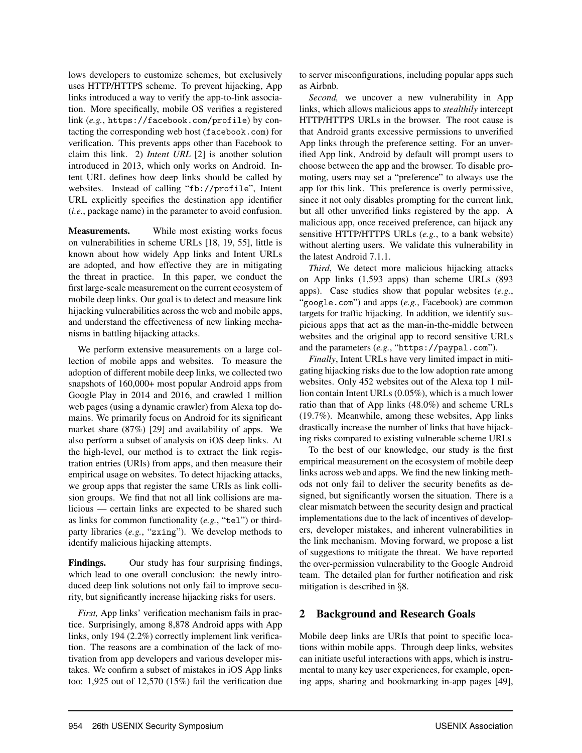lows developers to customize schemes, but exclusively uses HTTP/HTTPS scheme. To prevent hijacking, App links introduced a way to verify the app-to-link association. More specifically, mobile OS verifies a registered link (*e.g.*, https://facebook.com/profile) by contacting the corresponding web host (facebook.com) for verification. This prevents apps other than Facebook to claim this link. 2) *Intent URL* [2] is another solution introduced in 2013, which only works on Android. Intent URL defines how deep links should be called by websites. Instead of calling "fb://profile", Intent URL explicitly specifies the destination app identifier (*i.e.*, package name) in the parameter to avoid confusion.

Measurements. While most existing works focus on vulnerabilities in scheme URLs [18, 19, 55], little is known about how widely App links and Intent URLs are adopted, and how effective they are in mitigating the threat in practice. In this paper, we conduct the first large-scale measurement on the current ecosystem of mobile deep links. Our goal is to detect and measure link hijacking vulnerabilities across the web and mobile apps, and understand the effectiveness of new linking mechanisms in battling hijacking attacks.

We perform extensive measurements on a large collection of mobile apps and websites. To measure the adoption of different mobile deep links, we collected two snapshots of 160,000+ most popular Android apps from Google Play in 2014 and 2016, and crawled 1 million web pages (using a dynamic crawler) from Alexa top domains. We primarily focus on Android for its significant market share (87%) [29] and availability of apps. We also perform a subset of analysis on iOS deep links. At the high-level, our method is to extract the link registration entries (URIs) from apps, and then measure their empirical usage on websites. To detect hijacking attacks, we group apps that register the same URIs as link collision groups. We find that not all link collisions are malicious — certain links are expected to be shared such as links for common functionality (*e.g.*, "tel") or thirdparty libraries (*e.g.*, "zxing"). We develop methods to identify malicious hijacking attempts.

Findings. Our study has four surprising findings, which lead to one overall conclusion: the newly introduced deep link solutions not only fail to improve security, but significantly increase hijacking risks for users.

*First,* App links' verification mechanism fails in practice. Surprisingly, among 8,878 Android apps with App links, only 194 (2.2%) correctly implement link verification. The reasons are a combination of the lack of motivation from app developers and various developer mistakes. We confirm a subset of mistakes in iOS App links too: 1,925 out of 12,570 (15%) fail the verification due to server misconfigurations, including popular apps such as Airbnb.

*Second,* we uncover a new vulnerability in App links, which allows malicious apps to *stealthily* intercept HTTP/HTTPS URLs in the browser. The root cause is that Android grants excessive permissions to unverified App links through the preference setting. For an unverified App link, Android by default will prompt users to choose between the app and the browser. To disable promoting, users may set a "preference" to always use the app for this link. This preference is overly permissive, since it not only disables prompting for the current link, but all other unverified links registered by the app. A malicious app, once received preference, can hijack any sensitive HTTP/HTTPS URLs (*e.g.*, to a bank website) without alerting users. We validate this vulnerability in the latest Android 7.1.1.

*Third*, We detect more malicious hijacking attacks on App links (1,593 apps) than scheme URLs (893 apps). Case studies show that popular websites (*e.g.*, "google.com") and apps (*e.g.*, Facebook) are common targets for traffic hijacking. In addition, we identify suspicious apps that act as the man-in-the-middle between websites and the original app to record sensitive URLs and the parameters (*e.g.*, "https://paypal.com").

*Finally*, Intent URLs have very limited impact in mitigating hijacking risks due to the low adoption rate among websites. Only 452 websites out of the Alexa top 1 million contain Intent URLs (0.05%), which is a much lower ratio than that of App links (48.0%) and scheme URLs (19.7%). Meanwhile, among these websites, App links drastically increase the number of links that have hijacking risks compared to existing vulnerable scheme URLs

To the best of our knowledge, our study is the first empirical measurement on the ecosystem of mobile deep links across web and apps. We find the new linking methods not only fail to deliver the security benefits as designed, but significantly worsen the situation. There is a clear mismatch between the security design and practical implementations due to the lack of incentives of developers, developer mistakes, and inherent vulnerabilities in the link mechanism. Moving forward, we propose a list of suggestions to mitigate the threat. We have reported the over-permission vulnerability to the Google Android team. The detailed plan for further notification and risk mitigation is described in §8.

### 2 Background and Research Goals

Mobile deep links are URIs that point to specific locations within mobile apps. Through deep links, websites can initiate useful interactions with apps, which is instrumental to many key user experiences, for example, opening apps, sharing and bookmarking in-app pages [49],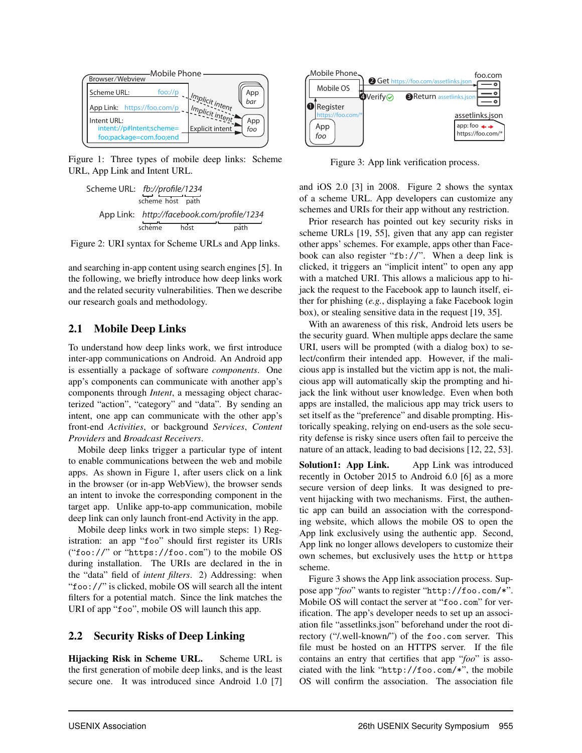

Figure 1: Three types of mobile deep links: Scheme URL, App Link and Intent URL.

scheme host path scheme host path App Link: http://facebook.com/prole/1234 Scheme URL: fb://prole/1234

Figure 2: URI syntax for Scheme URLs and App links.

and searching in-app content using search engines [5]. In the following, we briefly introduce how deep links work and the related security vulnerabilities. Then we describe our research goals and methodology.

### 2.1 Mobile Deep Links

To understand how deep links work, we first introduce inter-app communications on Android. An Android app is essentially a package of software *components*. One app's components can communicate with another app's components through *Intent*, a messaging object characterized "action", "category" and "data". By sending an intent, one app can communicate with the other app's front-end *Activities*, or background *Services*, *Content Providers* and *Broadcast Receivers*.

Mobile deep links trigger a particular type of intent to enable communications between the web and mobile apps. As shown in Figure 1, after users click on a link in the browser (or in-app WebView), the browser sends an intent to invoke the corresponding component in the target app. Unlike app-to-app communication, mobile deep link can only launch front-end Activity in the app.

Mobile deep links work in two simple steps: 1) Registration: an app "foo" should first register its URIs ("foo://" or "https://foo.com") to the mobile OS during installation. The URIs are declared in the in the "data" field of *intent filters*. 2) Addressing: when "foo://" is clicked, mobile OS will search all the intent filters for a potential match. Since the link matches the URI of app "foo", mobile OS will launch this app.

#### 2.2 Security Risks of Deep Linking

Hijacking Risk in Scheme URL. Scheme URL is the first generation of mobile deep links, and is the least secure one. It was introduced since Android 1.0 [7]



Figure 3: App link verification process.

and iOS 2.0 [3] in 2008. Figure 2 shows the syntax of a scheme URL. App developers can customize any schemes and URIs for their app without any restriction.

Prior research has pointed out key security risks in scheme URLs [19, 55], given that any app can register other apps' schemes. For example, apps other than Facebook can also register "fb://". When a deep link is clicked, it triggers an "implicit intent" to open any app with a matched URI. This allows a malicious app to hijack the request to the Facebook app to launch itself, either for phishing (*e.g.*, displaying a fake Facebook login box), or stealing sensitive data in the request [19, 35].

With an awareness of this risk, Android lets users be the security guard. When multiple apps declare the same URI, users will be prompted (with a dialog box) to select/confirm their intended app. However, if the malicious app is installed but the victim app is not, the malicious app will automatically skip the prompting and hijack the link without user knowledge. Even when both apps are installed, the malicious app may trick users to set itself as the "preference" and disable prompting. Historically speaking, relying on end-users as the sole security defense is risky since users often fail to perceive the nature of an attack, leading to bad decisions [12, 22, 53].

Solution1: App Link. App Link was introduced recently in October 2015 to Android 6.0 [6] as a more secure version of deep links. It was designed to prevent hijacking with two mechanisms. First, the authentic app can build an association with the corresponding website, which allows the mobile OS to open the App link exclusively using the authentic app. Second, App link no longer allows developers to customize their own schemes, but exclusively uses the http or https scheme.

Figure 3 shows the App link association process. Suppose app "*foo*" wants to register "http://foo.com/\*". Mobile OS will contact the server at "foo.com" for verification. The app's developer needs to set up an association file "assetlinks.json" beforehand under the root directory ("/.well-known/") of the foo.com server. This file must be hosted on an HTTPS server. If the file contains an entry that certifies that app "*foo*" is associated with the link "http://foo.com/\*", the mobile OS will confirm the association. The association file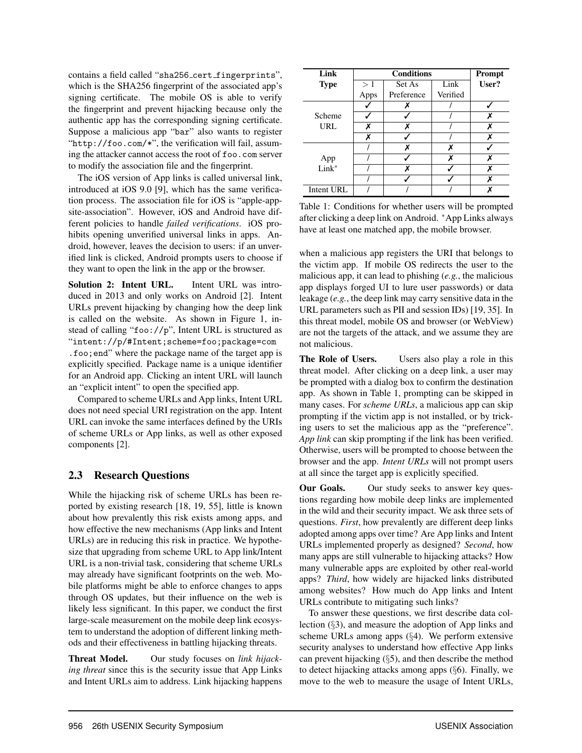contains a field called "sha256\_cert\_fingerprints", which is the SHA256 fingerprint of the associated app's signing certificate. The mobile OS is able to verify the fingerprint and prevent hijacking because only the authentic app has the corresponding signing certificate. Suppose a malicious app "bar" also wants to register "http://foo.com/\*", the verification will fail, assuming the attacker cannot access the root of foo.com server to modify the association file and the fingerprint.

The iOS version of App links is called universal link, introduced at iOS 9.0 [9], which has the same verification process. The association file for iOS is "apple-appsite-association". However, iOS and Android have different policies to handle *failed verifications*. iOS prohibits opening unverified universal links in apps. Android, however, leaves the decision to users: if an unverified link is clicked, Android prompts users to choose if they want to open the link in the app or the browser.

Solution 2: Intent URL. Intent URL was introduced in 2013 and only works on Android [2]. Intent URLs prevent hijacking by changing how the deep link is called on the website. As shown in Figure 1, instead of calling "foo://p", Intent URL is structured as "intent://p/#Intent;scheme=foo;package=com .foo;end" where the package name of the target app is explicitly specified. Package name is a unique identifier for an Android app. Clicking an intent URL will launch an "explicit intent" to open the specified app.

Compared to scheme URLs and App links, Intent URL does not need special URI registration on the app. Intent URL can invoke the same interfaces defined by the URIs of scheme URLs or App links, as well as other exposed components [2].

# 2.3 Research Questions

While the hijacking risk of scheme URLs has been reported by existing research [18, 19, 55], little is known about how prevalently this risk exists among apps, and how effective the new mechanisms (App links and Intent URLs) are in reducing this risk in practice. We hypothesize that upgrading from scheme URL to App link/Intent URL is a non-trivial task, considering that scheme URLs may already have significant footprints on the web. Mobile platforms might be able to enforce changes to apps through OS updates, but their influence on the web is likely less significant. In this paper, we conduct the first large-scale measurement on the mobile deep link ecosystem to understand the adoption of different linking methods and their effectiveness in battling hijacking threats.

Threat Model. Our study focuses on *link hijacking threat* since this is the security issue that App Links and Intent URLs aim to address. Link hijacking happens

| Link         |                      | Prompt     |          |  |
|--------------|----------------------|------------|----------|--|
| <b>Type</b>  | Link<br>>1<br>Set As |            | User?    |  |
|              | Apps                 | Preference | Verified |  |
|              |                      |            |          |  |
| Scheme       |                      |            |          |  |
| URL          |                      |            |          |  |
|              | x                    |            |          |  |
|              |                      | x          | x        |  |
| App<br>Link* |                      |            | ¥        |  |
|              |                      | ¥          |          |  |
|              |                      |            |          |  |
| Intent URL   |                      |            |          |  |

Table 1: Conditions for whether users will be prompted after clicking a deep link on Android. <sup>∗</sup>App Links always have at least one matched app, the mobile browser.

when a malicious app registers the URI that belongs to the victim app. If mobile OS redirects the user to the malicious app, it can lead to phishing (*e.g.*, the malicious app displays forged UI to lure user passwords) or data leakage (*e.g.*, the deep link may carry sensitive data in the URL parameters such as PII and session IDs) [19, 35]. In this threat model, mobile OS and browser (or WebView) are not the targets of the attack, and we assume they are not malicious.

The Role of Users. Users also play a role in this threat model. After clicking on a deep link, a user may be prompted with a dialog box to confirm the destination app. As shown in Table 1, prompting can be skipped in many cases. For *scheme URLs*, a malicious app can skip prompting if the victim app is not installed, or by tricking users to set the malicious app as the "preference". *App link* can skip prompting if the link has been verified. Otherwise, users will be prompted to choose between the browser and the app. *Intent URLs* will not prompt users at all since the target app is explicitly specified.

Our Goals. Our study seeks to answer key questions regarding how mobile deep links are implemented in the wild and their security impact. We ask three sets of questions. *First*, how prevalently are different deep links adopted among apps over time? Are App links and Intent URLs implemented properly as designed? *Second*, how many apps are still vulnerable to hijacking attacks? How many vulnerable apps are exploited by other real-world apps? *Third*, how widely are hijacked links distributed among websites? How much do App links and Intent URLs contribute to mitigating such links?

To answer these questions, we first describe data collection (§3), and measure the adoption of App links and scheme URLs among apps (§4). We perform extensive security analyses to understand how effective App links can prevent hijacking (§5), and then describe the method to detect hijacking attacks among apps (§6). Finally, we move to the web to measure the usage of Intent URLs,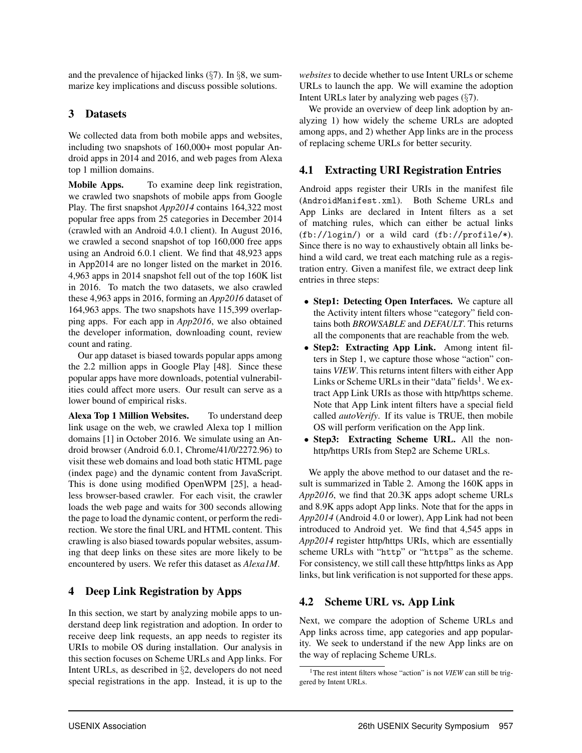and the prevalence of hijacked links  $(\frac{6}{7})$ . In  $\S$ 8, we summarize key implications and discuss possible solutions.

## 3 Datasets

We collected data from both mobile apps and websites, including two snapshots of 160,000+ most popular Android apps in 2014 and 2016, and web pages from Alexa top 1 million domains.

Mobile Apps. To examine deep link registration, we crawled two snapshots of mobile apps from Google Play. The first snapshot *App2014* contains 164,322 most popular free apps from 25 categories in December 2014 (crawled with an Android 4.0.1 client). In August 2016, we crawled a second snapshot of top 160,000 free apps using an Android 6.0.1 client. We find that 48,923 apps in App2014 are no longer listed on the market in 2016. 4,963 apps in 2014 snapshot fell out of the top 160K list in 2016. To match the two datasets, we also crawled these 4,963 apps in 2016, forming an *App2016* dataset of 164,963 apps. The two snapshots have 115,399 overlapping apps. For each app in *App2016*, we also obtained the developer information, downloading count, review count and rating.

Our app dataset is biased towards popular apps among the 2.2 million apps in Google Play [48]. Since these popular apps have more downloads, potential vulnerabilities could affect more users. Our result can serve as a lower bound of empirical risks.

Alexa Top 1 Million Websites. To understand deep link usage on the web, we crawled Alexa top 1 million domains [1] in October 2016. We simulate using an Android browser (Android 6.0.1, Chrome/41/0/2272.96) to visit these web domains and load both static HTML page (index page) and the dynamic content from JavaScript. This is done using modified OpenWPM [25], a headless browser-based crawler. For each visit, the crawler loads the web page and waits for 300 seconds allowing the page to load the dynamic content, or perform the redirection. We store the final URL and HTML content. This crawling is also biased towards popular websites, assuming that deep links on these sites are more likely to be encountered by users. We refer this dataset as *Alexa1M*.

# 4 Deep Link Registration by Apps

In this section, we start by analyzing mobile apps to understand deep link registration and adoption. In order to receive deep link requests, an app needs to register its URIs to mobile OS during installation. Our analysis in this section focuses on Scheme URLs and App links. For Intent URLs, as described in §2, developers do not need special registrations in the app. Instead, it is up to the *websites* to decide whether to use Intent URLs or scheme URLs to launch the app. We will examine the adoption Intent URLs later by analyzing web pages (§7).

We provide an overview of deep link adoption by analyzing 1) how widely the scheme URLs are adopted among apps, and 2) whether App links are in the process of replacing scheme URLs for better security.

# 4.1 Extracting URI Registration Entries

Android apps register their URIs in the manifest file (AndroidManifest.xml). Both Scheme URLs and App Links are declared in Intent filters as a set of matching rules, which can either be actual links (fb://login/) or a wild card (fb://profile/\*). Since there is no way to exhaustively obtain all links behind a wild card, we treat each matching rule as a registration entry. Given a manifest file, we extract deep link entries in three steps:

- Step1: Detecting Open Interfaces. We capture all the Activity intent filters whose "category" field contains both *BROWSABLE* and *DEFAULT*. This returns all the components that are reachable from the web.
- Step2: Extracting App Link. Among intent filters in Step 1, we capture those whose "action" contains *VIEW*. This returns intent filters with either App Links or Scheme URLs in their "data" fields $<sup>1</sup>$ . We ex-</sup> tract App Link URIs as those with http/https scheme. Note that App Link intent filters have a special field called *autoVerify*. If its value is TRUE, then mobile OS will perform verification on the App link.
- Step3: Extracting Scheme URL. All the nonhttp/https URIs from Step2 are Scheme URLs.

We apply the above method to our dataset and the result is summarized in Table 2. Among the 160K apps in *App2016*, we find that 20.3K apps adopt scheme URLs and 8.9K apps adopt App links. Note that for the apps in *App2014* (Android 4.0 or lower), App Link had not been introduced to Android yet. We find that 4,545 apps in *App2014* register http/https URIs, which are essentially scheme URLs with "http" or "https" as the scheme. For consistency, we still call these http/https links as App links, but link verification is not supported for these apps.

# 4.2 Scheme URL vs. App Link

Next, we compare the adoption of Scheme URLs and App links across time, app categories and app popularity. We seek to understand if the new App links are on the way of replacing Scheme URLs.

<sup>&</sup>lt;sup>1</sup>The rest intent filters whose "action" is not *VIEW* can still be triggered by Intent URLs.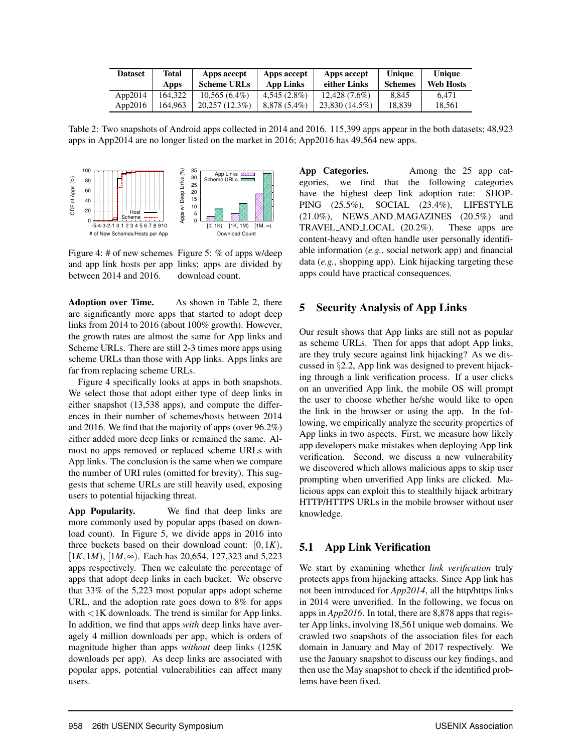| <b>Dataset</b> | Total<br>Apps | Apps accept<br><b>Scheme URLs</b> | Apps accept<br>App Links | Apps accept<br>either Links | Unique<br><b>Schemes</b> | Unique<br>Web Hosts |
|----------------|---------------|-----------------------------------|--------------------------|-----------------------------|--------------------------|---------------------|
| App $2014$     | 164.322       | $10,565(6.4\%)$                   | $4,545(2.8\%)$           | $12.428(7.6\%)$             | 8.845                    | 6.471               |
| App $2016$     | 64.963        | 20.257 (12.3%)                    | $8.878(5.4\%)$           | 23.830 (14.5%)              | 18.839                   | 18.561              |

Table 2: Two snapshots of Android apps collected in 2014 and 2016. 115,399 apps appear in the both datasets; 48,923 apps in App2014 are no longer listed on the market in 2016; App2016 has 49,564 new apps.



Figure 4: # of new schemes Figure 5: % of apps w/deep and app link hosts per app links; apps are divided by between 2014 and 2016. download count.

Adoption over Time. As shown in Table 2, there are significantly more apps that started to adopt deep links from 2014 to 2016 (about 100% growth). However, the growth rates are almost the same for App links and Scheme URLs. There are still 2-3 times more apps using scheme URLs than those with App links. Apps links are far from replacing scheme URLs.

Figure 4 specifically looks at apps in both snapshots. We select those that adopt either type of deep links in either snapshot (13,538 apps), and compute the differences in their number of schemes/hosts between 2014 and 2016. We find that the majority of apps (over 96.2%) either added more deep links or remained the same. Almost no apps removed or replaced scheme URLs with App links. The conclusion is the same when we compare the number of URI rules (omitted for brevity). This suggests that scheme URLs are still heavily used, exposing users to potential hijacking threat.

App Popularity. We find that deep links are more commonly used by popular apps (based on download count). In Figure 5, we divide apps in 2016 into three buckets based on their download count:  $[0, 1K)$ ,  $[1K, 1M), [1M, \infty)$ . Each has 20,654, 127,323 and 5,223 apps respectively. Then we calculate the percentage of apps that adopt deep links in each bucket. We observe that 33% of the 5,223 most popular apps adopt scheme URL, and the adoption rate goes down to 8% for apps with <1K downloads. The trend is similar for App links. In addition, we find that apps *with* deep links have averagely 4 million downloads per app, which is orders of magnitude higher than apps *without* deep links (125K downloads per app). As deep links are associated with popular apps, potential vulnerabilities can affect many users.

App Categories. Among the 25 app categories, we find that the following categories have the highest deep link adoption rate: SHOP-PING (25.5%), SOCIAL (23.4%), LIFESTYLE (21.0%), NEWS AND MAGAZINES (20.5%) and TRAVEL AND LOCAL (20.2%). These apps are content-heavy and often handle user personally identifiable information (*e.g.*, social network app) and financial data (e.g., shopping app). Link hijacking targeting these apps could have practical consequences.

### 5 Security Analysis of App Links

Our result shows that App links are still not as popular as scheme URLs. Then for apps that adopt App links, are they truly secure against link hijacking? As we discussed in §2.2, App link was designed to prevent hijacking through a link verification process. If a user clicks on an unverified App link, the mobile OS will prompt the user to choose whether he/she would like to open the link in the browser or using the app. In the following, we empirically analyze the security properties of App links in two aspects. First, we measure how likely app developers make mistakes when deploying App link verification. Second, we discuss a new vulnerability we discovered which allows malicious apps to skip user prompting when unverified App links are clicked. Malicious apps can exploit this to stealthily hijack arbitrary HTTP/HTTPS URLs in the mobile browser without user knowledge.

# 5.1 App Link Verification

We start by examining whether *link verification* truly protects apps from hijacking attacks. Since App link has not been introduced for *App2014*, all the http/https links in 2014 were unverified. In the following, we focus on apps in *App2016*. In total, there are 8,878 apps that register App links, involving 18,561 unique web domains. We crawled two snapshots of the association files for each domain in January and May of 2017 respectively. We use the January snapshot to discuss our key findings, and then use the May snapshot to check if the identified problems have been fixed.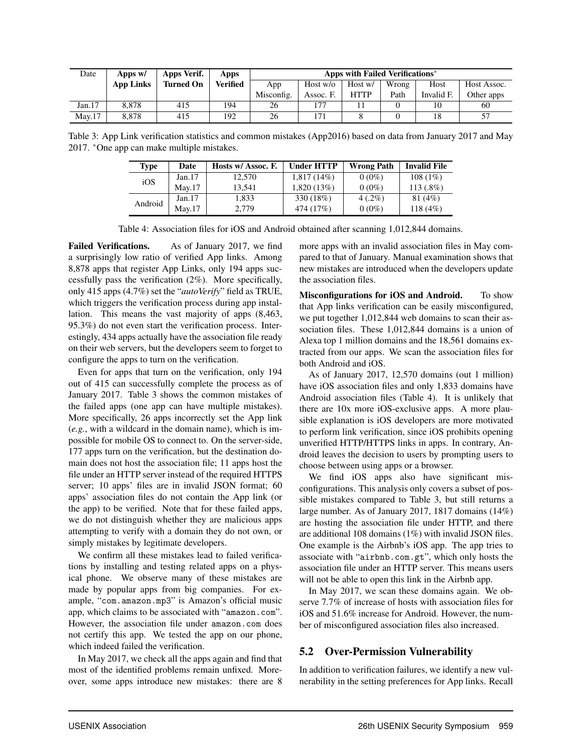| Date    | Apps w/          | Apps Verif.      | Apps            | Apps with Failed Verifications* |            |             |       |            |             |
|---------|------------------|------------------|-----------------|---------------------------------|------------|-------------|-------|------------|-------------|
|         | <b>App Links</b> | <b>Turned On</b> | <b>Verified</b> | App                             | Host $w/o$ | Host w/     | Wrong | Host       | Host Assoc. |
|         |                  |                  |                 | Misconfig.                      | Assoc. F.  | <b>HTTP</b> | Path  | Invalid F. | Other apps  |
| Jan. 17 | 8.878            | 415              | 194             | 26                              | $17-$      |             |       |            | 60          |
| Mav.17  | 8.878            | 415              | 192             | 26                              | 171        |             |       | 18         | 57          |

Table 3: App Link verification statistics and common mistakes (App2016) based on data from January 2017 and May 2017. <sup>∗</sup>One app can make multiple mistakes.

| <b>Type</b> | Date   | Hosts w/ Assoc. F. | <b>Under HTTP</b> | <b>Wrong Path</b> | <b>Invalid File</b> |
|-------------|--------|--------------------|-------------------|-------------------|---------------------|
| iOS         | Jan.17 | 12.570             | $1,817(14\%)$     | $0(0\%)$          | $108(1\%)$          |
|             | Mav.17 | 13.541             | 1.820(13%)        | $0(0\%)$          | $113(.8\%)$         |
| Android     | Jan.17 | 1.833              | 330 (18%)         | $4(.2\%)$         | 81(4%)              |
|             | Mav.17 | 2.779              | 474 (17%)         | $0(0\%)$          | 118(4%)             |

Table 4: Association files for iOS and Android obtained after scanning 1,012,844 domains.

Failed Verifications. As of January 2017, we find a surprisingly low ratio of verified App links. Among 8,878 apps that register App Links, only 194 apps successfully pass the verification (2%). More specifically, only 415 apps (4.7%) set the "*autoVerify*" field as TRUE, which triggers the verification process during app installation. This means the vast majority of apps (8,463, 95.3%) do not even start the verification process. Interestingly, 434 apps actually have the association file ready on their web servers, but the developers seem to forget to configure the apps to turn on the verification.

Even for apps that turn on the verification, only 194 out of 415 can successfully complete the process as of January 2017. Table 3 shows the common mistakes of the failed apps (one app can have multiple mistakes). More specifically, 26 apps incorrectly set the App link (*e.g.*, with a wildcard in the domain name), which is impossible for mobile OS to connect to. On the server-side, 177 apps turn on the verification, but the destination domain does not host the association file; 11 apps host the file under an HTTP server instead of the required HTTPS server; 10 apps' files are in invalid JSON format; 60 apps' association files do not contain the App link (or the app) to be verified. Note that for these failed apps, we do not distinguish whether they are malicious apps attempting to verify with a domain they do not own, or simply mistakes by legitimate developers.

We confirm all these mistakes lead to failed verifications by installing and testing related apps on a physical phone. We observe many of these mistakes are made by popular apps from big companies. For example, "com.amazon.mp3" is Amazon's official music app, which claims to be associated with "amazon.com". However, the association file under amazon.com does not certify this app. We tested the app on our phone, which indeed failed the verification.

In May 2017, we check all the apps again and find that most of the identified problems remain unfixed. Moreover, some apps introduce new mistakes: there are 8 more apps with an invalid association files in May compared to that of January. Manual examination shows that new mistakes are introduced when the developers update the association files.

Misconfigurations for iOS and Android. To show that App links verification can be easily misconfigured, we put together 1,012,844 web domains to scan their association files. These 1,012,844 domains is a union of Alexa top 1 million domains and the 18,561 domains extracted from our apps. We scan the association files for both Android and iOS.

As of January 2017, 12,570 domains (out 1 million) have iOS association files and only 1,833 domains have Android association files (Table 4). It is unlikely that there are 10x more iOS-exclusive apps. A more plausible explanation is iOS developers are more motivated to perform link verification, since iOS prohibits opening unverified HTTP/HTTPS links in apps. In contrary, Android leaves the decision to users by prompting users to choose between using apps or a browser.

We find iOS apps also have significant misconfigurations. This analysis only covers a subset of possible mistakes compared to Table 3, but still returns a large number. As of January 2017, 1817 domains (14%) are hosting the association file under HTTP, and there are additional 108 domains (1%) with invalid JSON files. One example is the Airbnb's iOS app. The app tries to associate with "airbnb.com.gt", which only hosts the association file under an HTTP server. This means users will not be able to open this link in the Airbnb app.

In May 2017, we scan these domains again. We observe 7.7% of increase of hosts with association files for iOS and 51.6% increase for Android. However, the number of misconfigured association files also increased.

# 5.2 Over-Permission Vulnerability

In addition to verification failures, we identify a new vulnerability in the setting preferences for App links. Recall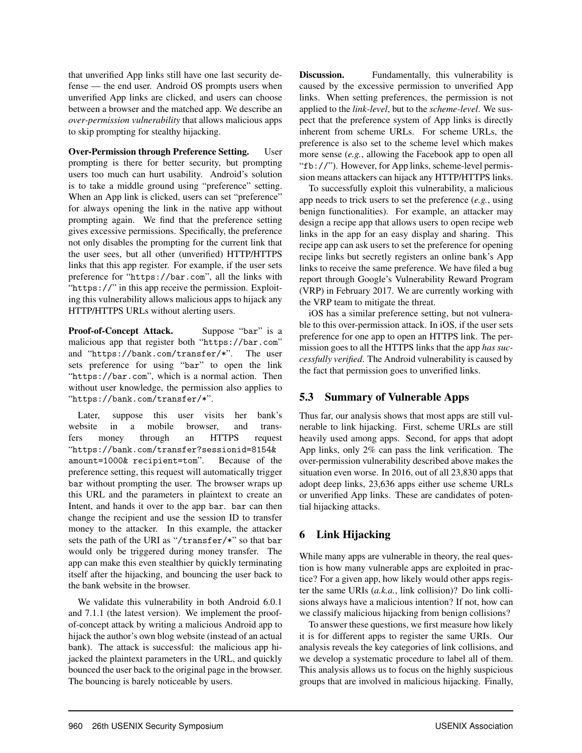that unverified App links still have one last security defense — the end user. Android OS prompts users when unverified App links are clicked, and users can choose between a browser and the matched app. We describe an *over-permission vulnerability* that allows malicious apps to skip prompting for stealthy hijacking.

Over-Permission through Preference Setting. User prompting is there for better security, but prompting users too much can hurt usability. Android's solution is to take a middle ground using "preference" setting. When an App link is clicked, users can set "preference" for always opening the link in the native app without prompting again. We find that the preference setting gives excessive permissions. Specifically, the preference not only disables the prompting for the current link that the user sees, but all other (unverified) HTTP/HTTPS links that this app register. For example, if the user sets preference for "https://bar.com", all the links with "https://" in this app receive the permission. Exploiting this vulnerability allows malicious apps to hijack any HTTP/HTTPS URLs without alerting users.

Proof-of-Concept Attack. Suppose "bar" is a malicious app that register both "https://bar.com" and "https://bank.com/transfer/\*". The user sets preference for using "bar" to open the link "https://bar.com", which is a normal action. Then without user knowledge, the permission also applies to "https://bank.com/transfer/\*".

Later, suppose this user visits her bank's website in a mobile browser, and transfers money through an HTTPS request "https://bank.com/transfer?sessionid=8154& amount=1000& recipient=tom". Because of the preference setting, this request will automatically trigger bar without prompting the user. The browser wraps up this URL and the parameters in plaintext to create an Intent, and hands it over to the app bar. bar can then change the recipient and use the session ID to transfer money to the attacker. In this example, the attacker sets the path of the URI as "/transfer/\*" so that bar would only be triggered during money transfer. The app can make this even stealthier by quickly terminating itself after the hijacking, and bouncing the user back to the bank website in the browser.

We validate this vulnerability in both Android 6.0.1 and 7.1.1 (the latest version). We implement the proofof-concept attack by writing a malicious Android app to hijack the author's own blog website (instead of an actual bank). The attack is successful: the malicious app hijacked the plaintext parameters in the URL, and quickly bounced the user back to the original page in the browser. The bouncing is barely noticeable by users.

Discussion. Fundamentally, this vulnerability is caused by the excessive permission to unverified App links. When setting preferences, the permission is not applied to the *link-level*, but to the *scheme-level*. We suspect that the preference system of App links is directly inherent from scheme URLs. For scheme URLs, the preference is also set to the scheme level which makes more sense (*e.g.*, allowing the Facebook app to open all "fb://"). However, for App links, scheme-level permission means attackers can hijack any HTTP/HTTPS links.

To successfully exploit this vulnerability, a malicious app needs to trick users to set the preference (*e.g.*, using benign functionalities). For example, an attacker may design a recipe app that allows users to open recipe web links in the app for an easy display and sharing. This recipe app can ask users to set the preference for opening recipe links but secretly registers an online bank's App links to receive the same preference. We have filed a bug report through Google's Vulnerability Reward Program (VRP) in February 2017. We are currently working with the VRP team to mitigate the threat.

iOS has a similar preference setting, but not vulnerable to this over-permission attack. In iOS, if the user sets preference for one app to open an HTTPS link. The permission goes to all the HTTPS links that the app *has successfully verified*. The Android vulnerability is caused by the fact that permission goes to unverified links.

# 5.3 Summary of Vulnerable Apps

Thus far, our analysis shows that most apps are still vulnerable to link hijacking. First, scheme URLs are still heavily used among apps. Second, for apps that adopt App links, only 2% can pass the link verification. The over-permission vulnerability described above makes the situation even worse. In 2016, out of all 23,830 apps that adopt deep links, 23,636 apps either use scheme URLs or unverified App links. These are candidates of potential hijacking attacks.

# 6 Link Hijacking

While many apps are vulnerable in theory, the real question is how many vulnerable apps are exploited in practice? For a given app, how likely would other apps register the same URIs (*a.k.a.*, link collision)? Do link collisions always have a malicious intention? If not, how can we classify malicious hijacking from benign collisions?

To answer these questions, we first measure how likely it is for different apps to register the same URIs. Our analysis reveals the key categories of link collisions, and we develop a systematic procedure to label all of them. This analysis allows us to focus on the highly suspicious groups that are involved in malicious hijacking. Finally,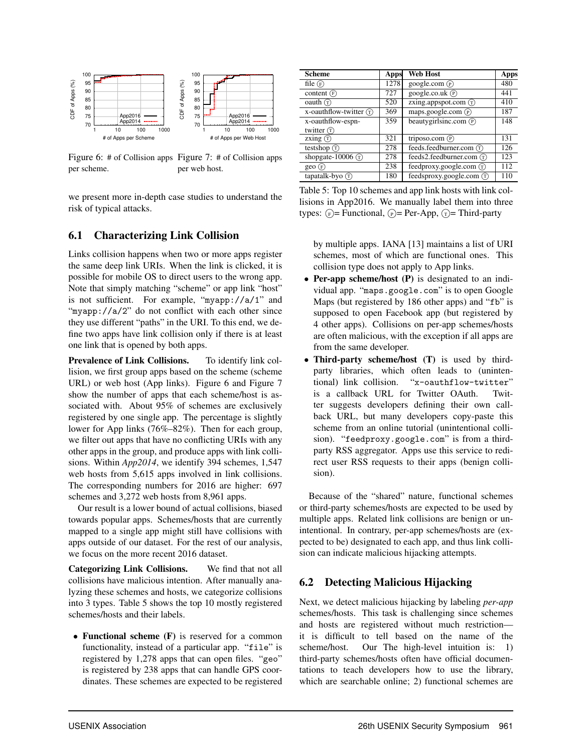

Figure 6: # of Collision apps Figure 7: # of Collision apps per scheme. per web host.

we present more in-depth case studies to understand the risk of typical attacks.

### 6.1 Characterizing Link Collision

Links collision happens when two or more apps register the same deep link URIs. When the link is clicked, it is possible for mobile OS to direct users to the wrong app. Note that simply matching "scheme" or app link "host" is not sufficient. For example, "myapp://a/1" and "myapp://a/2" do not conflict with each other since they use different "paths" in the URI. To this end, we define two apps have link collision only if there is at least one link that is opened by both apps.

Prevalence of Link Collisions. To identify link collision, we first group apps based on the scheme (scheme URL) or web host (App links). Figure 6 and Figure 7 show the number of apps that each scheme/host is associated with. About 95% of schemes are exclusively registered by one single app. The percentage is slightly lower for App links (76%–82%). Then for each group, we filter out apps that have no conflicting URIs with any other apps in the group, and produce apps with link collisions. Within *App2014*, we identify 394 schemes, 1,547 web hosts from 5,615 apps involved in link collisions. The corresponding numbers for 2016 are higher: 697 schemes and 3,272 web hosts from 8,961 apps.

Our result is a lower bound of actual collisions, biased towards popular apps. Schemes/hosts that are currently mapped to a single app might still have collisions with apps outside of our dataset. For the rest of our analysis, we focus on the more recent 2016 dataset.

Categorizing Link Collisions. We find that not all collisions have malicious intention. After manually analyzing these schemes and hosts, we categorize collisions into 3 types. Table 5 shows the top 10 mostly registered schemes/hosts and their labels.

• Functional scheme (F) is reserved for a common functionality, instead of a particular app. "file" is registered by 1,278 apps that can open files. "geo" is registered by 238 apps that can handle GPS coordinates. These schemes are expected to be registered

| <b>Scheme</b>                        | Apps | <b>Web Host</b>                     | Apps |
|--------------------------------------|------|-------------------------------------|------|
| file $(F)$                           | 1278 | google.com $(\widehat{P})$          | 480  |
| content $(F)$                        | 727  | google.co.uk $(\overline{P})$       | 441  |
| $\alpha$ oauth $\binom{1}{1}$        | 520  | zxing.appspot.com $(\bar{r})$       | 410  |
| x-oauthflow-twitter $(\overline{r})$ | 369  | maps.google.com $(\overline{P})$    | 187  |
| x-oauthflow-espn-                    | 359  | beautygirlsinc.com $(\overline{P})$ | 148  |
| twitter $(T)$                        |      |                                     |      |
| zxing $(T)$                          | 321  | triposo.com (P)                     | 131  |
| testshop $(T)$                       | 278  | feeds.feedburner.com (T)            | 126  |
| shopgate-10006 $\binom{1}{1}$        | 278  | feeds2.feedburner.com (T)           | 123  |
| geo(F)                               | 238  | feedproxy.google.com (T)            | 112  |
| tapatalk-byo $($ $\bar{T}$ )         | 180  | feedsproxy.google.com (T)           | 110  |

Table 5: Top 10 schemes and app link hosts with link collisions in App2016. We manually label them into three types:  $(F)$  = Functional,  $(F)$  = Per-App,  $(F)$  = Third-party

by multiple apps. IANA [13] maintains a list of URI schemes, most of which are functional ones. This collision type does not apply to App links.

- Per-app scheme/host (P) is designated to an individual app. "maps.google.com" is to open Google Maps (but registered by 186 other apps) and "fb" is supposed to open Facebook app (but registered by 4 other apps). Collisions on per-app schemes/hosts are often malicious, with the exception if all apps are from the same developer.
- Third-party scheme/host (T) is used by thirdparty libraries, which often leads to (unintentional) link collision. "x-oauthflow-twitter" is a callback URL for Twitter OAuth. Twitter suggests developers defining their own callback URL, but many developers copy-paste this scheme from an online tutorial (unintentional collision). "feedproxy.google.com" is from a thirdparty RSS aggregator. Apps use this service to redirect user RSS requests to their apps (benign collision).

Because of the "shared" nature, functional schemes or third-party schemes/hosts are expected to be used by multiple apps. Related link collisions are benign or unintentional. In contrary, per-app schemes/hosts are (expected to be) designated to each app, and thus link collision can indicate malicious hijacking attempts.

# 6.2 Detecting Malicious Hijacking

Next, we detect malicious hijacking by labeling *per-app* schemes/hosts. This task is challenging since schemes and hosts are registered without much restriction it is difficult to tell based on the name of the scheme/host. Our The high-level intuition is: 1) third-party schemes/hosts often have official documentations to teach developers how to use the library, which are searchable online; 2) functional schemes are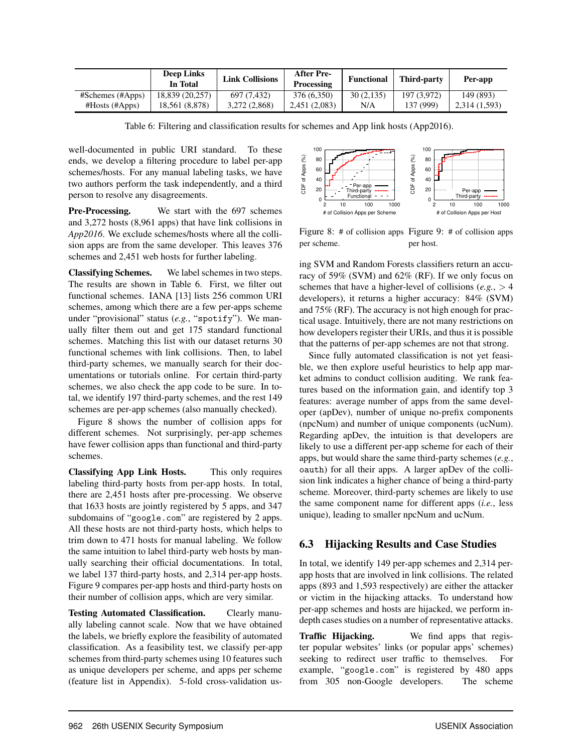|                      | <b>Deep Links</b><br>In Total | <b>Link Collisions</b> | After Pre-<br>Processing | <b>Functional</b> | Third-party | Per-app      |
|----------------------|-------------------------------|------------------------|--------------------------|-------------------|-------------|--------------|
| $#Schemes$ (#Apps)   | 18,839 (20,257)               | 697 (7.432)            | 376 (6,350)              | 30(2,135)         | 197 (3.972) | 149 (893)    |
| $#Hosts$ ( $#Apps$ ) | 18,561 (8,878)                | 3.272 (2.868)          | 2,451 (2,083)            | N/A               | 137 (999)   | 2.314(1.593) |

Table 6: Filtering and classification results for schemes and App link hosts (App2016).

well-documented in public URI standard. To these ends, we develop a filtering procedure to label per-app schemes/hosts. For any manual labeling tasks, we have two authors perform the task independently, and a third person to resolve any disagreements.

Pre-Processing. We start with the 697 schemes and 3,272 hosts (8,961 apps) that have link collisions in *App2016*. We exclude schemes/hosts where all the collision apps are from the same developer. This leaves 376 schemes and 2,451 web hosts for further labeling.

Classifying Schemes. We label schemes in two steps. The results are shown in Table 6. First, we filter out functional schemes. IANA [13] lists 256 common URI schemes, among which there are a few per-apps scheme under "provisional" status (*e.g.*, "spotify"). We manually filter them out and get 175 standard functional schemes. Matching this list with our dataset returns 30 functional schemes with link collisions. Then, to label third-party schemes, we manually search for their documentations or tutorials online. For certain third-party schemes, we also check the app code to be sure. In total, we identify 197 third-party schemes, and the rest 149 schemes are per-app schemes (also manually checked).

Figure 8 shows the number of collision apps for different schemes. Not surprisingly, per-app schemes have fewer collision apps than functional and third-party schemes.

Classifying App Link Hosts. This only requires labeling third-party hosts from per-app hosts. In total, there are 2,451 hosts after pre-processing. We observe that 1633 hosts are jointly registered by 5 apps, and 347 subdomains of "google.com" are registered by 2 apps. All these hosts are not third-party hosts, which helps to trim down to 471 hosts for manual labeling. We follow the same intuition to label third-party web hosts by manually searching their official documentations. In total, we label 137 third-party hosts, and 2,314 per-app hosts. Figure 9 compares per-app hosts and third-party hosts on their number of collision apps, which are very similar.

Testing Automated Classification. Clearly manually labeling cannot scale. Now that we have obtained the labels, we briefly explore the feasibility of automated classification. As a feasibility test, we classify per-app schemes from third-party schemes using 10 features such as unique developers per scheme, and apps per scheme (feature list in Appendix). 5-fold cross-validation us-



Figure 8: # of collision apps Figure 9: # of collision apps per scheme. per host.

ing SVM and Random Forests classifiers return an accuracy of 59% (SVM) and 62% (RF). If we only focus on schemes that have a higher-level of collisions (*e.g.*, > 4 developers), it returns a higher accuracy: 84% (SVM) and 75% (RF). The accuracy is not high enough for practical usage. Intuitively, there are not many restrictions on how developers register their URIs, and thus it is possible that the patterns of per-app schemes are not that strong.

Since fully automated classification is not yet feasible, we then explore useful heuristics to help app market admins to conduct collision auditing. We rank features based on the information gain, and identify top 3 features: average number of apps from the same developer (apDev), number of unique no-prefix components (npcNum) and number of unique components (ucNum). Regarding apDev, the intuition is that developers are likely to use a different per-app scheme for each of their apps, but would share the same third-party schemes (*e.g.*, oauth) for all their apps. A larger apDev of the collision link indicates a higher chance of being a third-party scheme. Moreover, third-party schemes are likely to use the same component name for different apps (*i.e.*, less unique), leading to smaller npcNum and ucNum.

# 6.3 Hijacking Results and Case Studies

In total, we identify 149 per-app schemes and 2,314 perapp hosts that are involved in link collisions. The related apps (893 and 1,593 respectively) are either the attacker or victim in the hijacking attacks. To understand how per-app schemes and hosts are hijacked, we perform indepth cases studies on a number of representative attacks.

Traffic Hijacking. We find apps that register popular websites' links (or popular apps' schemes) seeking to redirect user traffic to themselves. For example, "google.com" is registered by 480 apps from 305 non-Google developers. The scheme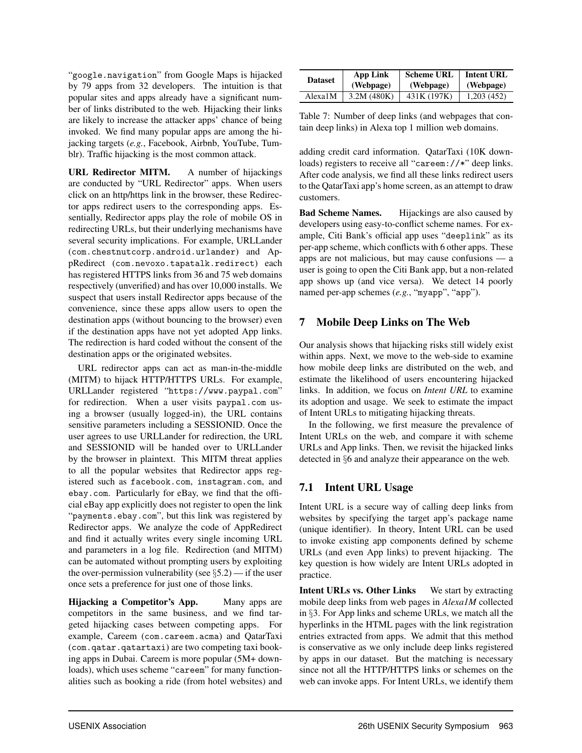"google.navigation" from Google Maps is hijacked by 79 apps from 32 developers. The intuition is that popular sites and apps already have a significant number of links distributed to the web. Hijacking their links are likely to increase the attacker apps' chance of being invoked. We find many popular apps are among the hijacking targets (*e.g.*, Facebook, Airbnb, YouTube, Tumblr). Traffic hijacking is the most common attack.

URL Redirector MITM. A number of hijackings are conducted by "URL Redirector" apps. When users click on an http/https link in the browser, these Redirector apps redirect users to the corresponding apps. Essentially, Redirector apps play the role of mobile OS in redirecting URLs, but their underlying mechanisms have several security implications. For example, URLLander (com.chestnutcorp.android.urlander) and AppRedirect (com.nevoxo.tapatalk.redirect) each has registered HTTPS links from 36 and 75 web domains respectively (unverified) and has over 10,000 installs. We suspect that users install Redirector apps because of the convenience, since these apps allow users to open the destination apps (without bouncing to the browser) even if the destination apps have not yet adopted App links. The redirection is hard coded without the consent of the destination apps or the originated websites.

URL redirector apps can act as man-in-the-middle (MITM) to hijack HTTP/HTTPS URLs. For example, URLLander registered "https://www.paypal.com" for redirection. When a user visits paypal.com using a browser (usually logged-in), the URL contains sensitive parameters including a SESSIONID. Once the user agrees to use URLLander for redirection, the URL and SESSIONID will be handed over to URLLander by the browser in plaintext. This MITM threat applies to all the popular websites that Redirector apps registered such as facebook.com, instagram.com, and ebay.com. Particularly for eBay, we find that the official eBay app explicitly does not register to open the link "payments.ebay.com", but this link was registered by Redirector apps. We analyze the code of AppRedirect and find it actually writes every single incoming URL and parameters in a log file. Redirection (and MITM) can be automated without prompting users by exploiting the over-permission vulnerability (see  $\S$ 5.2) — if the user once sets a preference for just one of those links.

Hijacking a Competitor's App. Many apps are competitors in the same business, and we find targeted hijacking cases between competing apps. For example, Careem (com.careem.acma) and QatarTaxi (com.qatar.qatartaxi) are two competing taxi booking apps in Dubai. Careem is more popular (5M+ downloads), which uses scheme "careem" for many functionalities such as booking a ride (from hotel websites) and

| <b>Dataset</b> | App Link   | <b>Scheme URL</b> | <b>Intent URL</b> |
|----------------|------------|-------------------|-------------------|
|                | (Webpage)  | (Webpage)         | (Webpage)         |
| Alexa1M        | 3.2M(480K) | 431K (197K)       | 1,203(452)        |

Table 7: Number of deep links (and webpages that contain deep links) in Alexa top 1 million web domains.

adding credit card information. QatarTaxi (10K downloads) registers to receive all "careem://\*" deep links. After code analysis, we find all these links redirect users to the QatarTaxi app's home screen, as an attempt to draw customers.

Bad Scheme Names. Hijackings are also caused by developers using easy-to-conflict scheme names. For example, Citi Bank's official app uses "deeplink" as its per-app scheme, which conflicts with 6 other apps. These apps are not malicious, but may cause confusions — a user is going to open the Citi Bank app, but a non-related app shows up (and vice versa). We detect 14 poorly named per-app schemes (*e.g.*, "myapp", "app").

# 7 Mobile Deep Links on The Web

Our analysis shows that hijacking risks still widely exist within apps. Next, we move to the web-side to examine how mobile deep links are distributed on the web, and estimate the likelihood of users encountering hijacked links. In addition, we focus on *Intent URL* to examine its adoption and usage. We seek to estimate the impact of Intent URLs to mitigating hijacking threats.

In the following, we first measure the prevalence of Intent URLs on the web, and compare it with scheme URLs and App links. Then, we revisit the hijacked links detected in §6 and analyze their appearance on the web.

# 7.1 Intent URL Usage

Intent URL is a secure way of calling deep links from websites by specifying the target app's package name (unique identifier). In theory, Intent URL can be used to invoke existing app components defined by scheme URLs (and even App links) to prevent hijacking. The key question is how widely are Intent URLs adopted in practice.

Intent URLs vs. Other Links We start by extracting mobile deep links from web pages in *Alexa1M* collected in §3. For App links and scheme URLs, we match all the hyperlinks in the HTML pages with the link registration entries extracted from apps. We admit that this method is conservative as we only include deep links registered by apps in our dataset. But the matching is necessary since not all the HTTP/HTTPS links or schemes on the web can invoke apps. For Intent URLs, we identify them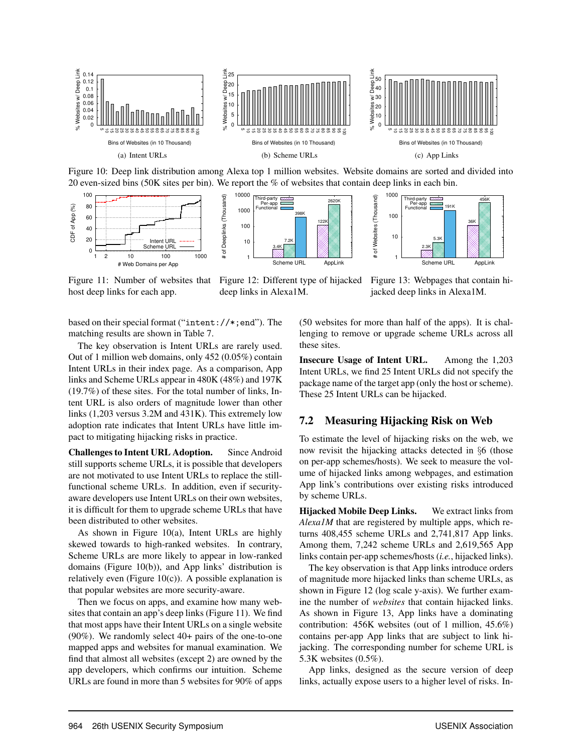

Figure 10: Deep link distribution among Alexa top 1 million websites. Website domains are sorted and divided into 20 even-sized bins (50K sites per bin). We report the % of websites that contain deep links in each bin.



Figure 11: Number of websites that host deep links for each app.

Figure 12: Different type of hijacked deep links in Alexa1M.

Figure 13: Webpages that contain hijacked deep links in Alexa1M.

based on their special format ("intent://\*;end"). The matching results are shown in Table 7.

The key observation is Intent URLs are rarely used. Out of 1 million web domains, only 452 (0.05%) contain Intent URLs in their index page. As a comparison, App links and Scheme URLs appear in 480K (48%) and 197K (19.7%) of these sites. For the total number of links, Intent URL is also orders of magnitude lower than other links (1,203 versus 3.2M and 431K). This extremely low adoption rate indicates that Intent URLs have little impact to mitigating hijacking risks in practice.

Challenges to Intent URL Adoption. Since Android still supports scheme URLs, it is possible that developers are not motivated to use Intent URLs to replace the stillfunctional scheme URLs. In addition, even if securityaware developers use Intent URLs on their own websites, it is difficult for them to upgrade scheme URLs that have been distributed to other websites.

As shown in Figure 10(a), Intent URLs are highly skewed towards to high-ranked websites. In contrary, Scheme URLs are more likely to appear in low-ranked domains (Figure 10(b)), and App links' distribution is relatively even (Figure  $10(c)$ ). A possible explanation is that popular websites are more security-aware.

Then we focus on apps, and examine how many websites that contain an app's deep links (Figure 11). We find that most apps have their Intent URLs on a single website (90%). We randomly select 40+ pairs of the one-to-one mapped apps and websites for manual examination. We find that almost all websites (except 2) are owned by the app developers, which confirms our intuition. Scheme URLs are found in more than 5 websites for 90% of apps (50 websites for more than half of the apps). It is challenging to remove or upgrade scheme URLs across all these sites.

Insecure Usage of Intent URL. Among the 1,203 Intent URLs, we find 25 Intent URLs did not specify the package name of the target app (only the host or scheme). These 25 Intent URLs can be hijacked.

#### 7.2 Measuring Hijacking Risk on Web

To estimate the level of hijacking risks on the web, we now revisit the hijacking attacks detected in §6 (those on per-app schemes/hosts). We seek to measure the volume of hijacked links among webpages, and estimation App link's contributions over existing risks introduced by scheme URLs.

Hijacked Mobile Deep Links. We extract links from *Alexa1M* that are registered by multiple apps, which returns 408,455 scheme URLs and 2,741,817 App links. Among them, 7,242 scheme URLs and 2,619,565 App links contain per-app schemes/hosts (*i.e.*, hijacked links).

The key observation is that App links introduce orders of magnitude more hijacked links than scheme URLs, as shown in Figure 12 (log scale y-axis). We further examine the number of *websites* that contain hijacked links. As shown in Figure 13, App links have a dominating contribution: 456K websites (out of 1 million, 45.6%) contains per-app App links that are subject to link hijacking. The corresponding number for scheme URL is 5.3K websites (0.5%).

App links, designed as the secure version of deep links, actually expose users to a higher level of risks. In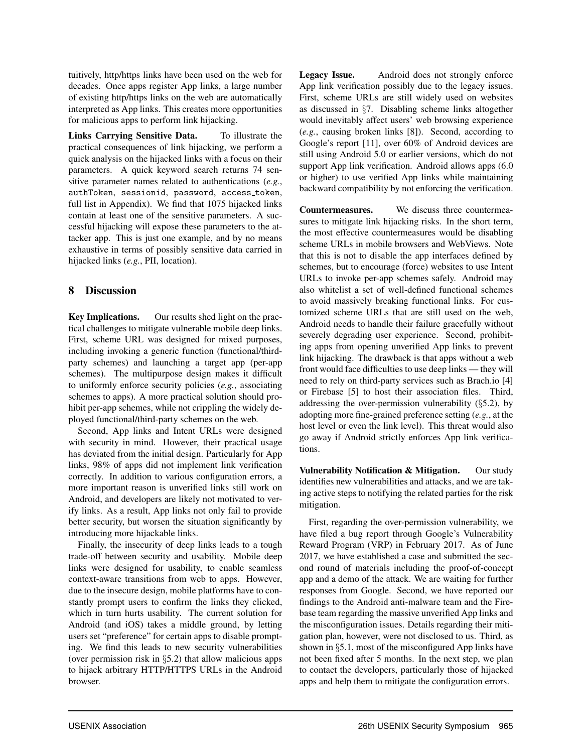tuitively, http/https links have been used on the web for decades. Once apps register App links, a large number of existing http/https links on the web are automatically interpreted as App links. This creates more opportunities for malicious apps to perform link hijacking.

Links Carrying Sensitive Data. To illustrate the practical consequences of link hijacking, we perform a quick analysis on the hijacked links with a focus on their parameters. A quick keyword search returns 74 sensitive parameter names related to authentications (*e.g.*, authToken, sessionid, password, access token, full list in Appendix). We find that 1075 hijacked links contain at least one of the sensitive parameters. A successful hijacking will expose these parameters to the attacker app. This is just one example, and by no means exhaustive in terms of possibly sensitive data carried in hijacked links (*e.g.*, PII, location).

# 8 Discussion

Key Implications. Our results shed light on the practical challenges to mitigate vulnerable mobile deep links. First, scheme URL was designed for mixed purposes, including invoking a generic function (functional/thirdparty schemes) and launching a target app (per-app schemes). The multipurpose design makes it difficult to uniformly enforce security policies (*e.g.*, associating schemes to apps). A more practical solution should prohibit per-app schemes, while not crippling the widely deployed functional/third-party schemes on the web.

Second, App links and Intent URLs were designed with security in mind. However, their practical usage has deviated from the initial design. Particularly for App links, 98% of apps did not implement link verification correctly. In addition to various configuration errors, a more important reason is unverified links still work on Android, and developers are likely not motivated to verify links. As a result, App links not only fail to provide better security, but worsen the situation significantly by introducing more hijackable links.

Finally, the insecurity of deep links leads to a tough trade-off between security and usability. Mobile deep links were designed for usability, to enable seamless context-aware transitions from web to apps. However, due to the insecure design, mobile platforms have to constantly prompt users to confirm the links they clicked, which in turn hurts usability. The current solution for Android (and iOS) takes a middle ground, by letting users set "preference" for certain apps to disable prompting. We find this leads to new security vulnerabilities (over permission risk in §5.2) that allow malicious apps to hijack arbitrary HTTP/HTTPS URLs in the Android browser.

Legacy Issue. Android does not strongly enforce App link verification possibly due to the legacy issues. First, scheme URLs are still widely used on websites as discussed in §7. Disabling scheme links altogether would inevitably affect users' web browsing experience (*e.g.*, causing broken links [8]). Second, according to Google's report [11], over 60% of Android devices are still using Android 5.0 or earlier versions, which do not support App link verification. Android allows apps  $(6.0)$ or higher) to use verified App links while maintaining backward compatibility by not enforcing the verification.

Countermeasures. We discuss three countermeasures to mitigate link hijacking risks. In the short term, the most effective countermeasures would be disabling scheme URLs in mobile browsers and WebViews. Note that this is not to disable the app interfaces defined by schemes, but to encourage (force) websites to use Intent URLs to invoke per-app schemes safely. Android may also whitelist a set of well-defined functional schemes to avoid massively breaking functional links. For customized scheme URLs that are still used on the web, Android needs to handle their failure gracefully without severely degrading user experience. Second, prohibiting apps from opening unverified App links to prevent link hijacking. The drawback is that apps without a web front would face difficulties to use deep links — they will need to rely on third-party services such as Brach.io [4] or Firebase [5] to host their association files. Third, addressing the over-permission vulnerability (§5.2), by adopting more fine-grained preference setting (*e.g.*, at the host level or even the link level). This threat would also go away if Android strictly enforces App link verifications.

Vulnerability Notification & Mitigation. Our study identifies new vulnerabilities and attacks, and we are taking active steps to notifying the related parties for the risk mitigation.

First, regarding the over-permission vulnerability, we have filed a bug report through Google's Vulnerability Reward Program (VRP) in February 2017. As of June 2017, we have established a case and submitted the second round of materials including the proof-of-concept app and a demo of the attack. We are waiting for further responses from Google. Second, we have reported our findings to the Android anti-malware team and the Firebase team regarding the massive unverified App links and the misconfiguration issues. Details regarding their mitigation plan, however, were not disclosed to us. Third, as shown in §5.1, most of the misconfigured App links have not been fixed after 5 months. In the next step, we plan to contact the developers, particularly those of hijacked apps and help them to mitigate the configuration errors.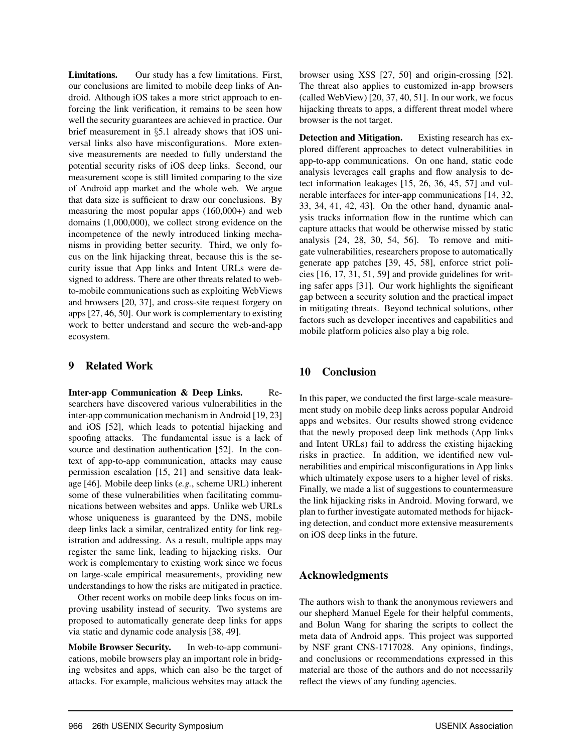Limitations. Our study has a few limitations. First, our conclusions are limited to mobile deep links of Android. Although iOS takes a more strict approach to enforcing the link verification, it remains to be seen how well the security guarantees are achieved in practice. Our brief measurement in §5.1 already shows that iOS universal links also have misconfigurations. More extensive measurements are needed to fully understand the potential security risks of iOS deep links. Second, our measurement scope is still limited comparing to the size of Android app market and the whole web. We argue that data size is sufficient to draw our conclusions. By measuring the most popular apps (160,000+) and web domains (1,000,000), we collect strong evidence on the incompetence of the newly introduced linking mechanisms in providing better security. Third, we only focus on the link hijacking threat, because this is the security issue that App links and Intent URLs were designed to address. There are other threats related to webto-mobile communications such as exploiting WebViews and browsers [20, 37], and cross-site request forgery on apps [27, 46, 50]. Our work is complementary to existing work to better understand and secure the web-and-app ecosystem.

## 9 Related Work

Inter-app Communication & Deep Links. Researchers have discovered various vulnerabilities in the inter-app communication mechanism in Android [19, 23] and iOS [52], which leads to potential hijacking and spoofing attacks. The fundamental issue is a lack of source and destination authentication [52]. In the context of app-to-app communication, attacks may cause permission escalation [15, 21] and sensitive data leakage [46]. Mobile deep links (*e.g.*, scheme URL) inherent some of these vulnerabilities when facilitating communications between websites and apps. Unlike web URLs whose uniqueness is guaranteed by the DNS, mobile deep links lack a similar, centralized entity for link registration and addressing. As a result, multiple apps may register the same link, leading to hijacking risks. Our work is complementary to existing work since we focus on large-scale empirical measurements, providing new understandings to how the risks are mitigated in practice.

Other recent works on mobile deep links focus on improving usability instead of security. Two systems are proposed to automatically generate deep links for apps via static and dynamic code analysis [38, 49].

Mobile Browser Security. In web-to-app communications, mobile browsers play an important role in bridging websites and apps, which can also be the target of attacks. For example, malicious websites may attack the browser using XSS [27, 50] and origin-crossing [52]. The threat also applies to customized in-app browsers (called WebView) [20, 37, 40, 51]. In our work, we focus hijacking threats to apps, a different threat model where browser is the not target.

Detection and Mitigation. Existing research has explored different approaches to detect vulnerabilities in app-to-app communications. On one hand, static code analysis leverages call graphs and flow analysis to detect information leakages [15, 26, 36, 45, 57] and vulnerable interfaces for inter-app communications [14, 32, 33, 34, 41, 42, 43]. On the other hand, dynamic analysis tracks information flow in the runtime which can capture attacks that would be otherwise missed by static analysis [24, 28, 30, 54, 56]. To remove and mitigate vulnerabilities, researchers propose to automatically generate app patches [39, 45, 58], enforce strict policies [16, 17, 31, 51, 59] and provide guidelines for writing safer apps [31]. Our work highlights the significant gap between a security solution and the practical impact in mitigating threats. Beyond technical solutions, other factors such as developer incentives and capabilities and mobile platform policies also play a big role.

# 10 Conclusion

In this paper, we conducted the first large-scale measurement study on mobile deep links across popular Android apps and websites. Our results showed strong evidence that the newly proposed deep link methods (App links and Intent URLs) fail to address the existing hijacking risks in practice. In addition, we identified new vulnerabilities and empirical misconfigurations in App links which ultimately expose users to a higher level of risks. Finally, we made a list of suggestions to countermeasure the link hijacking risks in Android. Moving forward, we plan to further investigate automated methods for hijacking detection, and conduct more extensive measurements on iOS deep links in the future.

# Acknowledgments

The authors wish to thank the anonymous reviewers and our shepherd Manuel Egele for their helpful comments, and Bolun Wang for sharing the scripts to collect the meta data of Android apps. This project was supported by NSF grant CNS-1717028. Any opinions, findings, and conclusions or recommendations expressed in this material are those of the authors and do not necessarily reflect the views of any funding agencies.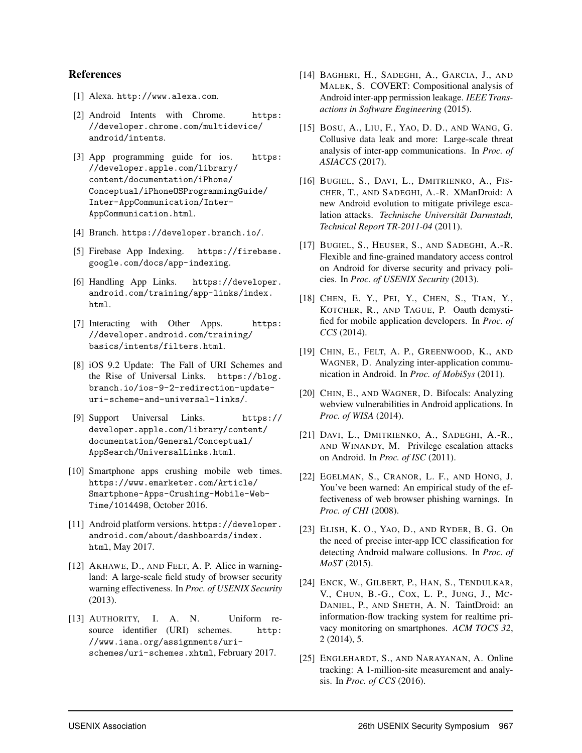#### References

- [1] Alexa. http://www.alexa.com.
- [2] Android Intents with Chrome. https: //developer.chrome.com/multidevice/ android/intents.
- [3] App programming guide for ios. https: //developer.apple.com/library/ content/documentation/iPhone/ Conceptual/iPhoneOSProgrammingGuide/ Inter-AppCommunication/Inter-AppCommunication.html.
- [4] Branch. https://developer.branch.io/.
- [5] Firebase App Indexing. https://firebase. google.com/docs/app-indexing.
- [6] Handling App Links. https://developer. android.com/training/app-links/index. html.
- [7] Interacting with Other Apps. https: //developer.android.com/training/ basics/intents/filters.html.
- [8] iOS 9.2 Update: The Fall of URI Schemes and the Rise of Universal Links. https://blog. branch.io/ios-9-2-redirection-updateuri-scheme-and-universal-links/.
- [9] Support Universal Links. https:// developer.apple.com/library/content/ documentation/General/Conceptual/ AppSearch/UniversalLinks.html.
- [10] Smartphone apps crushing mobile web times. https://www.emarketer.com/Article/ Smartphone-Apps-Crushing-Mobile-Web-Time/1014498, October 2016.
- [11] Android platform versions. https://developer. android.com/about/dashboards/index. html, May 2017.
- [12] AKHAWE, D., AND FELT, A. P. Alice in warningland: A large-scale field study of browser security warning effectiveness. In *Proc. of USENIX Security* (2013).
- [13] AUTHORITY, I. A. N. Uniform resource identifier (URI) schemes. http: //www.iana.org/assignments/urischemes/uri-schemes.xhtml, February 2017.
- [14] BAGHERI, H., SADEGHI, A., GARCIA, J., AND MALEK, S. COVERT: Compositional analysis of Android inter-app permission leakage. *IEEE Transactions in Software Engineering* (2015).
- [15] BOSU, A., LIU, F., YAO, D. D., AND WANG, G. Collusive data leak and more: Large-scale threat analysis of inter-app communications. In *Proc. of ASIACCS* (2017).
- [16] BUGIEL, S., DAVI, L., DMITRIENKO, A., FIS-CHER, T., AND SADEGHI, A.-R. XManDroid: A new Android evolution to mitigate privilege escalation attacks. *Technische Universitat Darmstadt, ¨ Technical Report TR-2011-04* (2011).
- [17] BUGIEL, S., HEUSER, S., AND SADEGHI, A.-R. Flexible and fine-grained mandatory access control on Android for diverse security and privacy policies. In *Proc. of USENIX Security* (2013).
- [18] CHEN, E. Y., PEI, Y., CHEN, S., TIAN, Y., KOTCHER, R., AND TAGUE, P. Oauth demystified for mobile application developers. In *Proc. of CCS* (2014).
- [19] CHIN, E., FELT, A. P., GREENWOOD, K., AND WAGNER, D. Analyzing inter-application communication in Android. In *Proc. of MobiSys* (2011).
- [20] CHIN, E., AND WAGNER, D. Bifocals: Analyzing webview vulnerabilities in Android applications. In *Proc. of WISA* (2014).
- [21] DAVI, L., DMITRIENKO, A., SADEGHI, A.-R., AND WINANDY, M. Privilege escalation attacks on Android. In *Proc. of ISC* (2011).
- [22] EGELMAN, S., CRANOR, L. F., AND HONG, J. You've been warned: An empirical study of the effectiveness of web browser phishing warnings. In *Proc. of CHI* (2008).
- [23] ELISH, K. O., YAO, D., AND RYDER, B. G. On the need of precise inter-app ICC classification for detecting Android malware collusions. In *Proc. of MoST* (2015).
- [24] ENCK, W., GILBERT, P., HAN, S., TENDULKAR, V., CHUN, B.-G., COX, L. P., JUNG, J., MC-DANIEL, P., AND SHETH, A. N. TaintDroid: an information-flow tracking system for realtime privacy monitoring on smartphones. *ACM TOCS 32*, 2 (2014), 5.
- [25] ENGLEHARDT, S., AND NARAYANAN, A. Online tracking: A 1-million-site measurement and analysis. In *Proc. of CCS* (2016).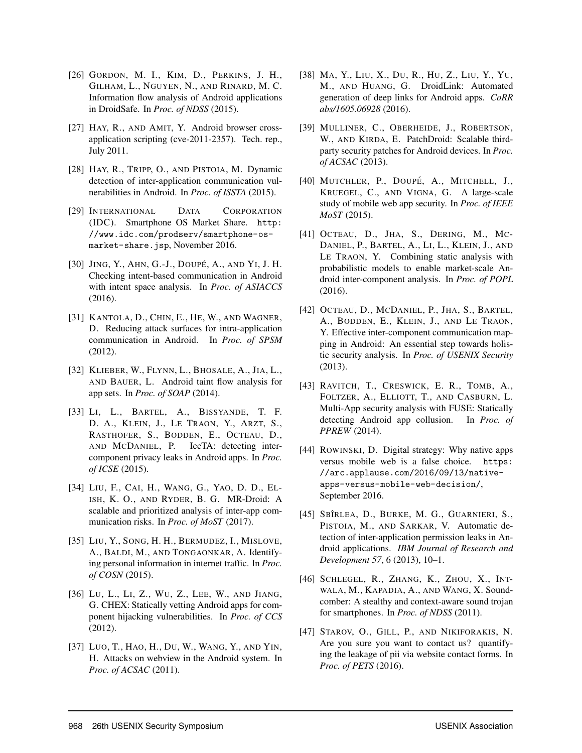- [26] GORDON, M. I., KIM, D., PERKINS, J. H., GILHAM, L., NGUYEN, N., AND RINARD, M. C. Information flow analysis of Android applications in DroidSafe. In *Proc. of NDSS* (2015).
- [27] HAY, R., AND AMIT, Y. Android browser crossapplication scripting (cve-2011-2357). Tech. rep., July 2011.
- [28] HAY, R., TRIPP, O., AND PISTOIA, M. Dynamic detection of inter-application communication vulnerabilities in Android. In *Proc. of ISSTA* (2015).
- [29] INTERNATIONAL DATA CORPORATION (IDC). Smartphone OS Market Share. http: //www.idc.com/prodserv/smartphone-osmarket-share.jsp, November 2016.
- [30] JING, Y., AHN, G.-J., DOUPÉ, A., AND YI, J. H. Checking intent-based communication in Android with intent space analysis. In *Proc. of ASIACCS* (2016).
- [31] KANTOLA, D., CHIN, E., HE, W., AND WAGNER, D. Reducing attack surfaces for intra-application communication in Android. In *Proc. of SPSM* (2012).
- [32] KLIEBER, W., FLYNN, L., BHOSALE, A., JIA, L., AND BAUER, L. Android taint flow analysis for app sets. In *Proc. of SOAP* (2014).
- [33] LI, L., BARTEL, A., BISSYANDE, T. F. D. A., KLEIN, J., LE TRAON, Y., ARZT, S., RASTHOFER, S., BODDEN, E., OCTEAU, D., AND MCDANIEL, P. IccTA: detecting inter-IccTA: detecting intercomponent privacy leaks in Android apps. In *Proc. of ICSE* (2015).
- [34] LIU, F., CAI, H., WANG, G., YAO, D. D., EL-ISH, K. O., AND RYDER, B. G. MR-Droid: A scalable and prioritized analysis of inter-app communication risks. In *Proc. of MoST* (2017).
- [35] LIU, Y., SONG, H. H., BERMUDEZ, I., MISLOVE, A., BALDI, M., AND TONGAONKAR, A. Identifying personal information in internet traffic. In *Proc. of COSN* (2015).
- [36] LU, L., LI, Z., WU, Z., LEE, W., AND JIANG, G. CHEX: Statically vetting Android apps for component hijacking vulnerabilities. In *Proc. of CCS* (2012).
- [37] LUO, T., HAO, H., DU, W., WANG, Y., AND YIN, H. Attacks on webview in the Android system. In *Proc. of ACSAC* (2011).
- [38] MA, Y., LIU, X., DU, R., HU, Z., LIU, Y., YU, M., AND HUANG, G. DroidLink: Automated generation of deep links for Android apps. *CoRR abs/1605.06928* (2016).
- [39] MULLINER, C., OBERHEIDE, J., ROBERTSON, W., AND KIRDA, E. PatchDroid: Scalable thirdparty security patches for Android devices. In *Proc. of ACSAC* (2013).
- [40] MUTCHLER, P., DOUPÉ, A., MITCHELL, J., KRUEGEL, C., AND VIGNA, G. A large-scale study of mobile web app security. In *Proc. of IEEE MoST* (2015).
- [41] OCTEAU, D., JHA, S., DERING, M., MC-DANIEL, P., BARTEL, A., LI, L., KLEIN, J., AND LE TRAON, Y. Combining static analysis with probabilistic models to enable market-scale Android inter-component analysis. In *Proc. of POPL* (2016).
- [42] OCTEAU, D., MCDANIEL, P., JHA, S., BARTEL, A., BODDEN, E., KLEIN, J., AND LE TRAON, Y. Effective inter-component communication mapping in Android: An essential step towards holistic security analysis. In *Proc. of USENIX Security* (2013).
- [43] RAVITCH, T., CRESWICK, E. R., TOMB, A., FOLTZER, A., ELLIOTT, T., AND CASBURN, L. Multi-App security analysis with FUSE: Statically detecting Android app collusion. In *Proc. of PPREW* (2014).
- [44] ROWINSKI, D. Digital strategy: Why native apps versus mobile web is a false choice. https: //arc.applause.com/2016/09/13/nativeapps-versus-mobile-web-decision/, September 2016.
- [45] SBÎRLEA, D., BURKE, M. G., GUARNIERI, S., PISTOIA, M., AND SARKAR, V. Automatic detection of inter-application permission leaks in Android applications. *IBM Journal of Research and Development 57*, 6 (2013), 10–1.
- [46] SCHLEGEL, R., ZHANG, K., ZHOU, X., INT-WALA, M., KAPADIA, A., AND WANG, X. Soundcomber: A stealthy and context-aware sound trojan for smartphones. In *Proc. of NDSS* (2011).
- [47] STAROV, O., GILL, P., AND NIKIFORAKIS, N. Are you sure you want to contact us? quantifying the leakage of pii via website contact forms. In *Proc. of PETS* (2016).